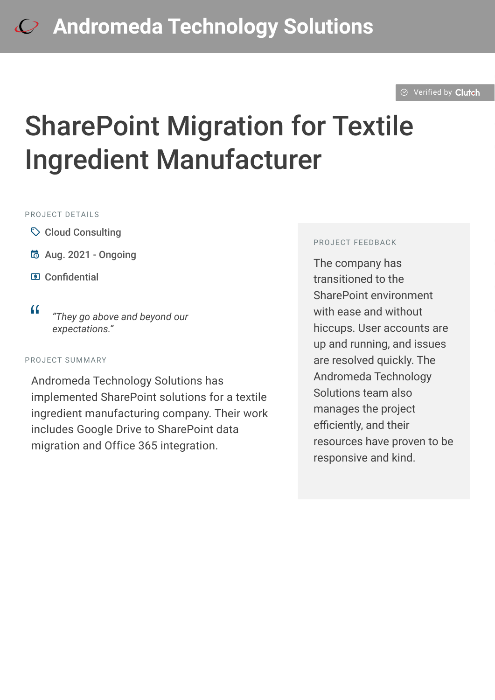#### $\otimes$  [Verified by](https://clutch.co?utm_source=case_studies&utm_medium=verified_by_clutch) Clutch

# SharePoint Migration for Textile Ingredient Manufacturer

#### PROJECT DFTAILS

- $\heartsuit$  Cloud Consulting
- B Aug. 2021 Ongoing
- C Confidential
- <sup>D</sup> *"They go above and beyond our expectations."*

#### PROJECT SUMMARY

Andromeda Technology Solutions has implemented SharePoint solutions for a textile ingredient manufacturing company. Their work includes Google Drive to SharePoint data migration and Office 365 integration.

#### PROJECT FEEDBACK

The company has transitioned to the SharePoint environment with ease and without hiccups. User accounts are up and running, and issues are resolved quickly. The Andromeda Technology Solutions team also manages the project efficiently, and their resources have proven to be responsive and kind.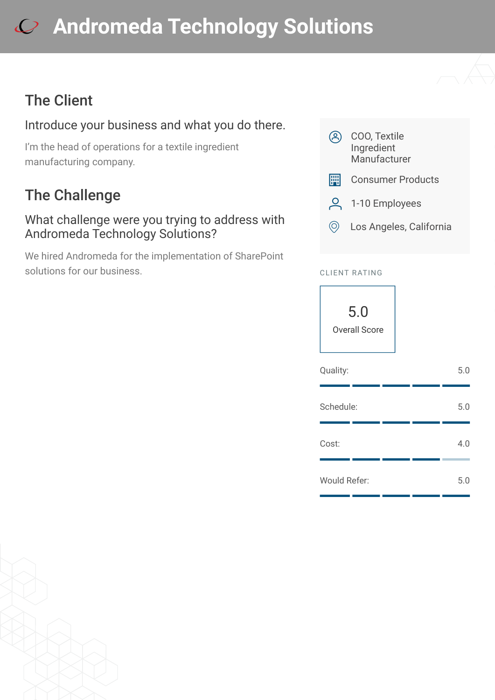# **[A](https://clutch.co/profile/andromeda-technology-solutions?utm_source=case_studies&utm_medium=logo)ndromeda Technology Solutions**

## The Client

## Introduce your business and what you do there.

I'm the head of operations for a textile ingredient manufacturing company.

## The Challenge

#### What challenge were you trying to address with Andromeda Technology Solutions?

We hired Andromeda for the implementation of SharePoint solutions for our business.



- 9 1-10 Employees
- $\circledcirc$  Los Angeles, California

#### CLIENT RATING



| Quality:            |  | 5.0 |
|---------------------|--|-----|
| Schedule:           |  | 5.0 |
| Cost:               |  | 4.0 |
| <b>Would Refer:</b> |  | 5.0 |

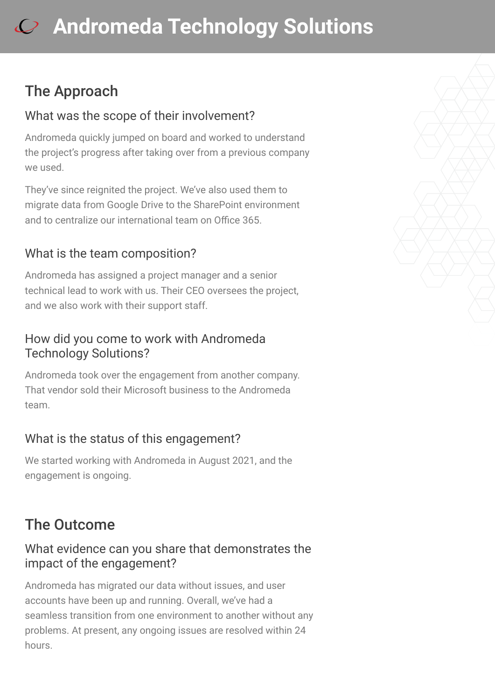# **[A](https://clutch.co/profile/andromeda-technology-solutions?utm_source=case_studies&utm_medium=logo)ndromeda Technology Solutions**

## The Approach

#### What was the scope of their involvement?

Andromeda quickly jumped on board and worked to understand the project's progress after taking over from a previous company we used.

They've since reignited the project. We've also used them to migrate data from Google Drive to the SharePoint environment and to centralize our international team on Office 365.

### What is the team composition?

Andromeda has assigned a project manager and a senior technical lead to work with us. Their CEO oversees the project, and we also work with their support staff.

#### How did you come to work with Andromeda Technology Solutions?

Andromeda took over the engagement from another company. That vendor sold their Microsoft business to the Andromeda team.

### What is the status of this engagement?

We started working with Andromeda in August 2021, and the engagement is ongoing.

## The Outcome

#### What evidence can you share that demonstrates the impact of the engagement?

Andromeda has migrated our data without issues, and user accounts have been up and running. Overall, we've had a seamless transition from one environment to another without any problems. At present, any ongoing issues are resolved within 24 hours.